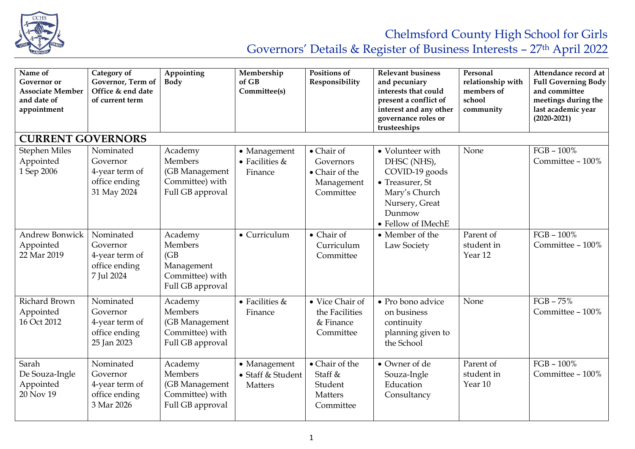

Governors' Details & Register of Business Interests – 27th April 2022

| Name of<br>Governor or<br><b>Associate Member</b><br>and date of<br>appointment | Category of<br>Governor, Term of<br>Office & end date<br>of current term | Appointing<br><b>Body</b>                                                          | Membership<br>of GB<br>Committee(s)          | Positions of<br>Responsibility                                       | <b>Relevant business</b><br>and pecuniary<br>interests that could<br>present a conflict of<br>interest and any other<br>governance roles or<br>trusteeships | Personal<br>relationship with<br>members of<br>school<br>community | Attendance record at<br><b>Full Governing Body</b><br>and committee<br>meetings during the<br>last academic year<br>$(2020 - 2021)$ |
|---------------------------------------------------------------------------------|--------------------------------------------------------------------------|------------------------------------------------------------------------------------|----------------------------------------------|----------------------------------------------------------------------|-------------------------------------------------------------------------------------------------------------------------------------------------------------|--------------------------------------------------------------------|-------------------------------------------------------------------------------------------------------------------------------------|
| <b>CURRENT GOVERNORS</b>                                                        |                                                                          |                                                                                    |                                              |                                                                      |                                                                                                                                                             |                                                                    |                                                                                                                                     |
| <b>Stephen Miles</b><br>Appointed<br>1 Sep 2006                                 | Nominated<br>Governor<br>4-year term of<br>office ending<br>31 May 2024  | Academy<br>Members<br>(GB Management<br>Committee) with<br>Full GB approval        | • Management<br>• Facilities $&$<br>Finance  | • Chair of<br>Governors<br>• Chair of the<br>Management<br>Committee | • Volunteer with<br>DHSC (NHS),<br>COVID-19 goods<br>• Treasurer, St<br>Mary's Church<br>Nursery, Great<br>Dunmow<br>• Fellow of IMechE                     | None                                                               | $FGB - 100\%$<br>Committee - 100%                                                                                                   |
| <b>Andrew Bonwick</b><br>Appointed<br>22 Mar 2019                               | Nominated<br>Governor<br>4-year term of<br>office ending<br>7 Jul 2024   | Academy<br>Members<br>(GB)<br>Management<br>Committee) with<br>Full GB approval    | • Curriculum                                 | $\bullet$ Chair of<br>Curriculum<br>Committee                        | • Member of the<br>Law Society                                                                                                                              | Parent of<br>student in<br>Year <sub>12</sub>                      | $FGB - 100\%$<br>Committee - 100%                                                                                                   |
| Richard Brown<br>Appointed<br>16 Oct 2012                                       | Nominated<br>Governor<br>4-year term of<br>office ending<br>25 Jan 2023  | Academy<br>Members<br>(GB Management<br>Committee) with<br>Full GB approval        | $\bullet$ Facilities &<br>Finance            | • Vice Chair of<br>the Facilities<br>& Finance<br>Committee          | • Pro bono advice<br>on business<br>continuity<br>planning given to<br>the School                                                                           | None                                                               | $FGB - 75%$<br>Committee - 100%                                                                                                     |
| Sarah<br>De Souza-Ingle<br>Appointed<br>20 Nov 19                               | Nominated<br>Governor<br>4-year term of<br>office ending<br>3 Mar 2026   | Academy<br><b>Members</b><br>(GB Management<br>Committee) with<br>Full GB approval | • Management<br>• Staff & Student<br>Matters | • Chair of the<br>Staff &<br>Student<br><b>Matters</b><br>Committee  | • Owner of de<br>Souza-Ingle<br>Education<br>Consultancy                                                                                                    | Parent of<br>student in<br>Year 10                                 | $FGB - 100\%$<br>Committee - 100%                                                                                                   |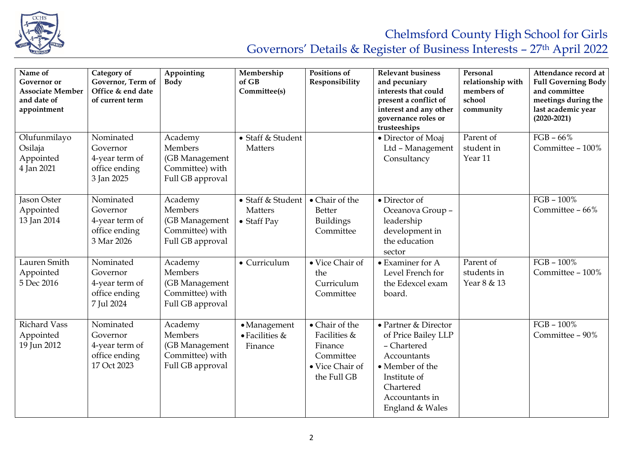

## Chelmsford County High School for Girls

Governors' Details & Register of Business Interests – 27th April 2022

| Name of<br><b>Governor</b> or<br><b>Associate Member</b><br>and date of<br>appointment | Category of<br>Governor, Term of<br>Office & end date<br>of current term | Appointing<br><b>Body</b>                                                          | Membership<br>of GB<br>Committee(s)                 | Positions of<br>Responsibility                                                           | <b>Relevant business</b><br>and pecuniary<br>interests that could<br>present a conflict of<br>interest and any other<br>governance roles or<br>trusteeships    | Personal<br>relationship with<br>members of<br>school<br>community | Attendance record at<br><b>Full Governing Body</b><br>and committee<br>meetings during the<br>last academic year<br>$(2020 - 2021)$ |
|----------------------------------------------------------------------------------------|--------------------------------------------------------------------------|------------------------------------------------------------------------------------|-----------------------------------------------------|------------------------------------------------------------------------------------------|----------------------------------------------------------------------------------------------------------------------------------------------------------------|--------------------------------------------------------------------|-------------------------------------------------------------------------------------------------------------------------------------|
| Olufunmilayo<br>Osilaja<br>Appointed<br>4 Jan 2021                                     | Nominated<br>Governor<br>4-year term of<br>office ending<br>3 Jan 2025   | Academy<br>Members<br>(GB Management<br>Committee) with<br>Full GB approval        | • Staff & Student<br>Matters                        |                                                                                          | • Director of Moaj<br>Ltd - Management<br>Consultancy                                                                                                          | Parent of<br>student in<br>Year 11                                 | $FGB - 66%$<br>Committee - 100%                                                                                                     |
| Jason Oster<br>Appointed<br>13 Jan 2014                                                | Nominated<br>Governor<br>4-year term of<br>office ending<br>3 Mar 2026   | Academy<br><b>Members</b><br>(GB Management<br>Committee) with<br>Full GB approval | • Staff & Student<br>Matters<br>$\bullet$ Staff Pay | • Chair of the<br>Better<br><b>Buildings</b><br>Committee                                | • Director of<br>Oceanova Group -<br>leadership<br>development in<br>the education<br>sector                                                                   |                                                                    | $FGB - 100\%$<br>Committee - 66%                                                                                                    |
| Lauren Smith<br>Appointed<br>5 Dec 2016                                                | Nominated<br>Governor<br>4-year term of<br>office ending<br>7 Jul 2024   | Academy<br><b>Members</b><br>(GB Management<br>Committee) with<br>Full GB approval | • Curriculum                                        | • Vice Chair of<br>the<br>Curriculum<br>Committee                                        | • Examiner for A<br>Level French for<br>the Edexcel exam<br>board.                                                                                             | Parent of<br>students in<br>Year 8 & 13                            | $FGB - 100\%$<br>Committee - 100%                                                                                                   |
| <b>Richard Vass</b><br>Appointed<br>19 Jun 2012                                        | Nominated<br>Governor<br>4-year term of<br>office ending<br>17 Oct 2023  | Academy<br>Members<br>(GB Management<br>Committee) with<br>Full GB approval        | · Management<br>$\bullet$ Facilities &<br>Finance   | • Chair of the<br>Facilities &<br>Finance<br>Committee<br>• Vice Chair of<br>the Full GB | • Partner & Director<br>of Price Bailey LLP<br>- Chartered<br>Accountants<br>• Member of the<br>Institute of<br>Chartered<br>Accountants in<br>England & Wales |                                                                    | $FGB - 100\%$<br>Committee - 90%                                                                                                    |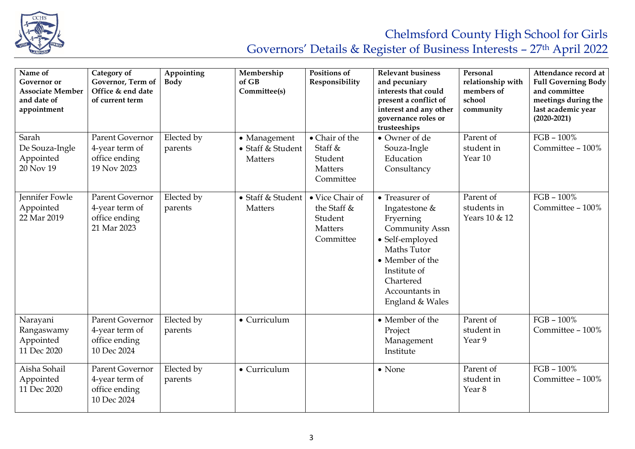

## Chelmsford County High School for Girls Governors' Details & Register of Business Interests – 27th April 2022

| Name of<br><b>Governor</b> or<br><b>Associate Member</b><br>and date of<br>appointment | Category of<br>Governor, Term of<br>Office & end date<br>of current term | Appointing<br><b>Body</b> | Membership<br>of GB<br>Committee(s)                 | Positions of<br>Responsibility                                           | <b>Relevant business</b><br>and pecuniary<br>interests that could<br>present a conflict of<br>interest and any other<br>governance roles or<br>trusteeships                                  | Personal<br>relationship with<br>members of<br>school<br>community | Attendance record at<br><b>Full Governing Body</b><br>and committee<br>meetings during the<br>last academic year<br>$(2020 - 2021)$ |
|----------------------------------------------------------------------------------------|--------------------------------------------------------------------------|---------------------------|-----------------------------------------------------|--------------------------------------------------------------------------|----------------------------------------------------------------------------------------------------------------------------------------------------------------------------------------------|--------------------------------------------------------------------|-------------------------------------------------------------------------------------------------------------------------------------|
| Sarah<br>De Souza-Ingle<br>Appointed<br>20 Nov 19                                      | <b>Parent Governor</b><br>4-year term of<br>office ending<br>19 Nov 2023 | Elected by<br>parents     | • Management<br>• Staff & Student<br><b>Matters</b> | • Chair of the<br>Staff &<br>Student<br>Matters<br>Committee             | • Owner of de<br>Souza-Ingle<br>Education<br>Consultancy                                                                                                                                     | Parent of<br>student in<br>Year 10                                 | $FGB - 100\%$<br>Committee - 100%                                                                                                   |
| Jennifer Fowle<br>Appointed<br>22 Mar 2019                                             | Parent Governor<br>4-year term of<br>office ending<br>21 Mar 2023        | Elected by<br>parents     | • Staff & Student<br><b>Matters</b>                 | • Vice Chair of<br>the Staff &<br>Student<br><b>Matters</b><br>Committee | • Treasurer of<br>Ingatestone &<br>Fryerning<br><b>Community Assn</b><br>• Self-employed<br>Maths Tutor<br>• Member of the<br>Institute of<br>Chartered<br>Accountants in<br>England & Wales | Parent of<br>students in<br>Years 10 & 12                          | $FGB - 100\%$<br>Committee - 100%                                                                                                   |
| Narayani<br>Rangaswamy<br>Appointed<br>11 Dec 2020                                     | Parent Governor<br>4-year term of<br>office ending<br>10 Dec 2024        | Elected by<br>parents     | • Curriculum                                        |                                                                          | • Member of the<br>Project<br>Management<br>Institute                                                                                                                                        | Parent of<br>student in<br>Year 9                                  | $FGB - 100\%$<br>Committee - 100%                                                                                                   |
| Aisha Sohail<br>Appointed<br>11 Dec 2020                                               | <b>Parent Governor</b><br>4-year term of<br>office ending<br>10 Dec 2024 | Elected by<br>parents     | • Curriculum                                        |                                                                          | $\bullet$ None                                                                                                                                                                               | Parent of<br>student in<br>Year <sub>8</sub>                       | $FGB - 100\%$<br>Committee - 100%                                                                                                   |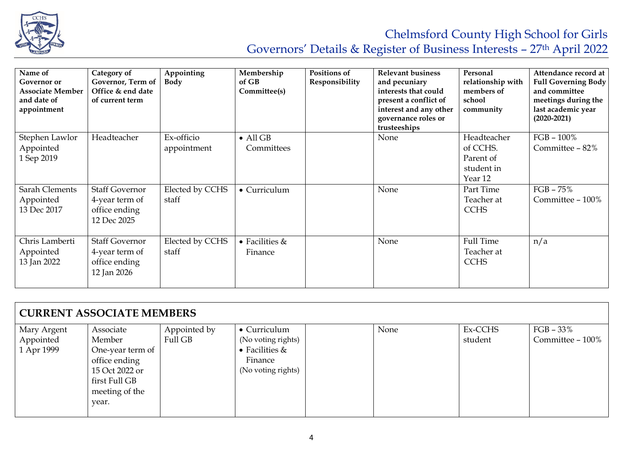

## Chelmsford County High School for Girls Governors' Details & Register of Business Interests – 27th April 2022

| Name of<br>Governor or<br><b>Associate Member</b><br>and date of<br>appointment | Category of<br>Governor, Term of<br>Office & end date<br>of current term | Appointing<br><b>Body</b> | Membership<br>of GB<br>Committee(s) | Positions of<br>Responsibility | <b>Relevant business</b><br>and pecuniary<br>interests that could<br>present a conflict of<br>interest and any other<br>governance roles or<br>trusteeships | Personal<br>relationship with<br>members of<br>school<br>community | Attendance record at<br><b>Full Governing Body</b><br>and committee<br>meetings during the<br>last academic year<br>$(2020 - 2021)$ |
|---------------------------------------------------------------------------------|--------------------------------------------------------------------------|---------------------------|-------------------------------------|--------------------------------|-------------------------------------------------------------------------------------------------------------------------------------------------------------|--------------------------------------------------------------------|-------------------------------------------------------------------------------------------------------------------------------------|
| Stephen Lawlor<br>Appointed<br>1 Sep 2019                                       | Headteacher                                                              | Ex-officio<br>appointment | $\bullet$ All GB<br>Committees      |                                | None                                                                                                                                                        | Headteacher<br>of CCHS.<br>Parent of<br>student in<br>Year 12      | $FGB - 100\%$<br>Committee - 82%                                                                                                    |
| Sarah Clements<br>Appointed<br>13 Dec 2017                                      | <b>Staff Governor</b><br>4-year term of<br>office ending<br>12 Dec 2025  | Elected by CCHS<br>staff  | • Curriculum                        |                                | None                                                                                                                                                        | Part Time<br>Teacher at<br><b>CCHS</b>                             | $FGB - 75\%$<br>Committee - 100%                                                                                                    |
| Chris Lamberti<br>Appointed<br>13 Jan 2022                                      | <b>Staff Governor</b><br>4-year term of<br>office ending<br>12 Jan 2026  | Elected by CCHS<br>staff  | • Facilities $&$<br>Finance         |                                | None                                                                                                                                                        | Full Time<br>Teacher at<br><b>CCHS</b>                             | n/a                                                                                                                                 |

| <b>CURRENT ASSOCIATE MEMBERS</b> |                  |              |                    |  |      |         |                  |  |
|----------------------------------|------------------|--------------|--------------------|--|------|---------|------------------|--|
| Mary Argent                      | Associate        | Appointed by | • Curriculum       |  | None | Ex-CCHS | $FGB - 33%$      |  |
| Appointed                        | Member           | Full GB      | (No voting rights) |  |      | student | Committee - 100% |  |
| 1 Apr 1999                       | One-year term of |              | • Facilities $&$   |  |      |         |                  |  |
|                                  | office ending    |              | Finance            |  |      |         |                  |  |
|                                  | 15 Oct 2022 or   |              | (No voting rights) |  |      |         |                  |  |
|                                  | first Full GB    |              |                    |  |      |         |                  |  |
|                                  | meeting of the   |              |                    |  |      |         |                  |  |
|                                  | year.            |              |                    |  |      |         |                  |  |
|                                  |                  |              |                    |  |      |         |                  |  |